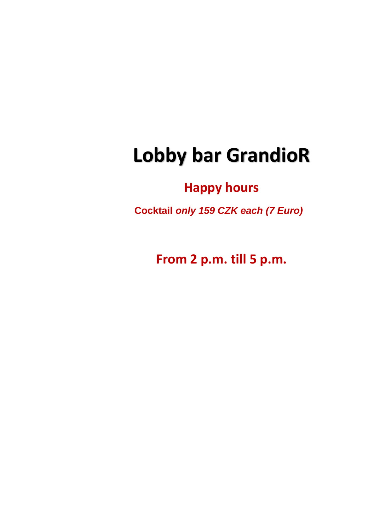# **Lobby bar GrandioR**

# **Happy hours**

 **Cocktail** *only 159 CZK each (7 Euro)*

**From 2 p.m. till 5 p.m.**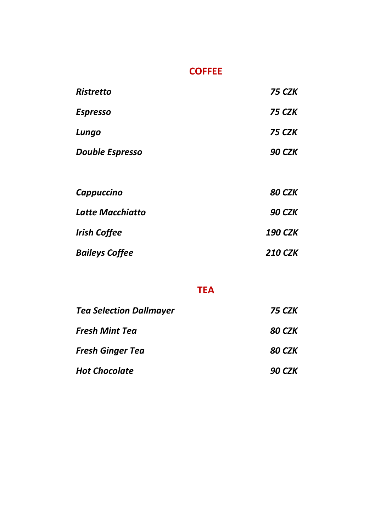#### **COFFEE**

| <b>Ristretto</b>       | <b>75 CZK</b>  |
|------------------------|----------------|
| <b>Espresso</b>        | <b>75 CZK</b>  |
| Lungo                  | <b>75 CZK</b>  |
| <b>Double Espresso</b> | <b>90 CZK</b>  |
|                        |                |
| Cappuccino             | <b>80 CZK</b>  |
| Latte Macchiatto       | <b>90 CZK</b>  |
| <b>Irish Coffee</b>    | <b>190 CZK</b> |
| <b>Baileys Coffee</b>  | <b>210 CZK</b> |

#### **TEA**

| <b>Tea Selection Dallmayer</b> | 75 CZK        |
|--------------------------------|---------------|
| Fresh Mint Tea                 | 80 CZK        |
| Fresh Ginger Tea               | 80 CZK        |
| <b>Hot Chocolate</b>           | <b>90 CZK</b> |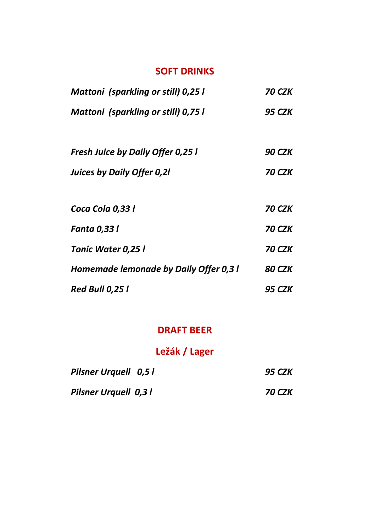#### **SOFT DRINKS**

| Mattoni (sparkling or still) 0,25 l      | 70 CZK |
|------------------------------------------|--------|
| Mattoni (sparkling or still) 0,75 l      | 95 CZK |
|                                          |        |
| <b>Fresh Juice by Daily Offer 0,25 I</b> | 90 CZK |
| Juices by Daily Offer 0,21               | 70 CZK |
|                                          |        |
| Coca Cola 0,33 l                         | 70 CZK |
| <b>Fanta 0,33 l</b>                      | 70 CZK |
| Tonic Water 0,25 l                       | 70 CZK |
| Homemade lemonade by Daily Offer 0,3 l   | 80 CZK |
| <b>Red Bull 0,25 l</b>                   | 95 CZK |

#### **DRAFT BEER**

# **Ležák / Lager**

| <b>Pilsner Urguell 0,51</b> | <b>95 CZK</b>        |
|-----------------------------|----------------------|
| <b>Pilsner Urquell 0,31</b> | <i><b>70 CZK</b></i> |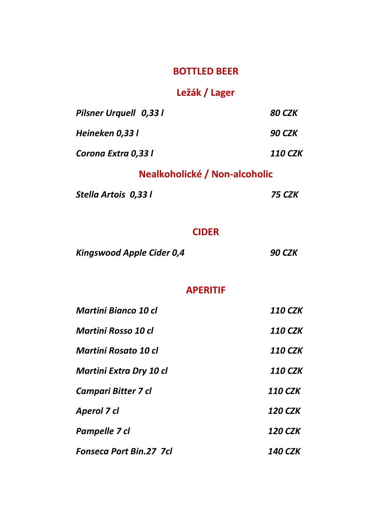#### **BOTTLED BEER**

# **Ležák / Lager**

| Pilsner Urguell 0,33 l | 80 CZK         |
|------------------------|----------------|
| Heineken 0.33 l        | <b>90 CZK</b>  |
| Corona Extra 0,33 l    | <b>110 CZK</b> |

# **Nealkoholické / Non-alcoholic**

*Stella Artois 0,33 l 75 CZK*

#### **CIDER**

| <b>Kingswood Apple Cider 0,4</b> | <b>90 CZK</b> |
|----------------------------------|---------------|
|----------------------------------|---------------|

#### **APERITIF**

| Martini Bianco 10 cl           | <b>110 CZK</b> |
|--------------------------------|----------------|
| Martini Rosso 10 cl            | <b>110 CZK</b> |
| Martini Rosato 10 cl           | <b>110 CZK</b> |
| Martini Extra Dry 10 cl        | <b>110 CZK</b> |
| Campari Bitter 7 cl            | <b>110 CZK</b> |
| Aperol 7 cl                    | <b>120 CZK</b> |
| Pampelle 7 cl                  | <b>120 CZK</b> |
| <b>Fonseca Port Bin.27 7cl</b> | 140 CZK        |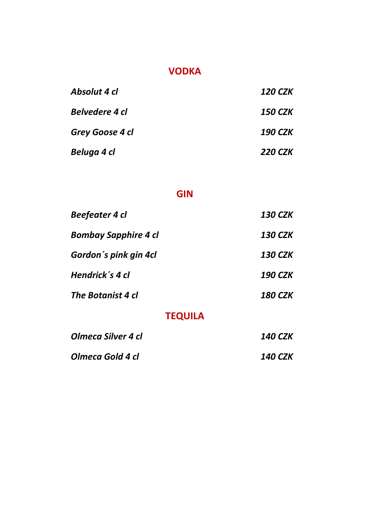#### **VODKA**

| Absolut 4 cl    | 120 CZK        |
|-----------------|----------------|
| Belvedere 4 cl  | 150 CZK        |
| Grey Goose 4 cl | 190 CZK        |
| Beluga 4 cl     | <b>220 CZK</b> |

#### **GIN**

| <b>Beefeater 4 cl</b>       | <b>130 CZK</b> |
|-----------------------------|----------------|
| <b>Bombay Sapphire 4 cl</b> | <b>130 CZK</b> |
| Gordon's pink gin 4cl       | <b>130 CZK</b> |
| Hendrick's 4 cl             | <b>190 CZK</b> |
| The Botanist 4 cl           | <b>180 CZK</b> |
| <b>TEQUILA</b>              |                |

# *Olmeca Silver 4 cl 140 CZK Olmeca Gold 4 cl 140 CZK*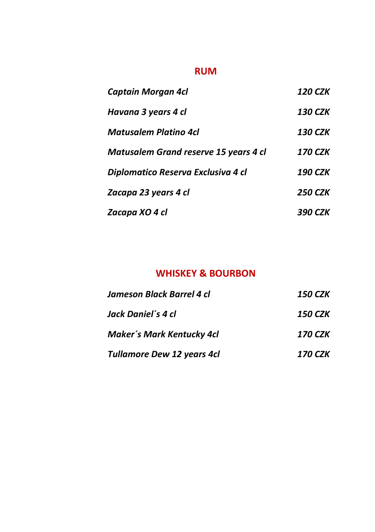#### **RUM**

| <b>Captain Morgan 4cl</b>             | <b>120 CZK</b> |
|---------------------------------------|----------------|
| Havana 3 years 4 cl                   | 130 CZK        |
| Matusalem Platino 4cl                 | <b>130 CZK</b> |
| Matusalem Grand reserve 15 years 4 cl | <b>170 CZK</b> |
| Diplomatico Reserva Exclusiva 4 cl    | <b>190 CZK</b> |
| Zacapa 23 years 4 cl                  | <b>250 CZK</b> |
| Zacapa XO 4 cl                        | 390 CZK        |

#### **WHISKEY & BOURBON**

| Jameson Black Barrel 4 cl         | 150 CZK               |  |
|-----------------------------------|-----------------------|--|
| Jack Daniel's 4 cl                | 150 CZK               |  |
| Maker's Mark Kentucky 4cl         | <b>170 CZK</b>        |  |
| <b>Tullamore Dew 12 years 4cl</b> | <i><b>170 CZK</b></i> |  |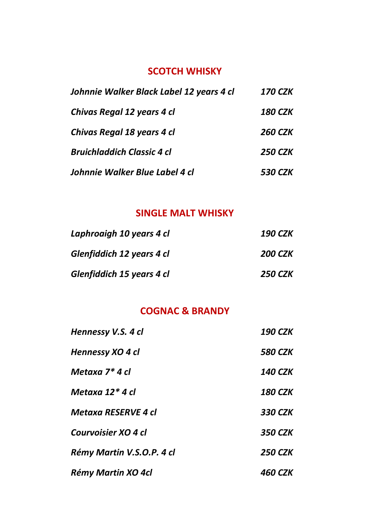# **SCOTCH WHISKY**

| Johnnie Walker Black Label 12 years 4 cl | <i><b>170 CZK</b></i> |
|------------------------------------------|-----------------------|
| Chivas Regal 12 years 4 cl               | <b>180 CZK</b>        |
| Chivas Regal 18 years 4 cl               | <b>260 CZK</b>        |
| <b>Bruichladdich Classic 4 cl</b>        | <b>250 CZK</b>        |
| Johnnie Walker Blue Label 4 cl           | <i><b>530 CZK</b></i> |

#### **SINGLE MALT WHISKY**

| Laphroaigh 10 years 4 cl  | 190 CZK        |
|---------------------------|----------------|
| Glenfiddich 12 years 4 cl | <b>200 CZK</b> |
| Glenfiddich 15 years 4 cl | 250 CZK        |

# **COGNAC & BRANDY**

| Hennessy V.S. 4 cl         | <b>190 CZK</b> |
|----------------------------|----------------|
| Hennessy XO 4 cl           | <b>580 CZK</b> |
| Metaxa 7* 4 cl             | <b>140 CZK</b> |
| Metaxa 12* 4 cl            | <b>180 CZK</b> |
| <b>Metaxa RESERVE 4 cl</b> | 330 CZK        |
| Courvoisier XO 4 cl        | <b>350 CZK</b> |
| Rémy Martin V.S.O.P. 4 cl  | <b>250 CZK</b> |
| Rémy Martin XO 4cl         | <b>460 CZK</b> |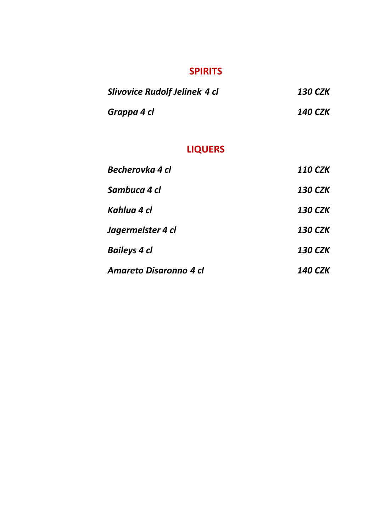#### **SPIRITS**

| Slivovice Rudolf Jelínek 4 cl | 130 CZK        |
|-------------------------------|----------------|
| Grappa 4 cl                   | <b>140 CZK</b> |

# **LIQUERS**

| Becherovka 4 cl        | <b>110 CZK</b> |
|------------------------|----------------|
| Sambuca 4 cl           | 130 CZK        |
| Kahlua 4 cl            | 130 CZK        |
| Jagermeister 4 cl      | <b>130 CZK</b> |
| <b>Baileys 4 cl</b>    | <b>130 CZK</b> |
| Amareto Disaronno 4 cl | 140 CZK        |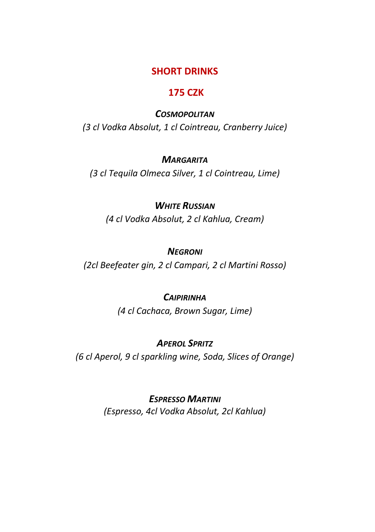#### **SHORT DRINKS**

#### **175 CZK**

#### *COSMOPOLITAN*

*(3 cl Vodka Absolut, 1 cl Cointreau, Cranberry Juice)*

#### *MARGARITA*

*(3 cl Tequila Olmeca Silver, 1 cl Cointreau, Lime)*

#### *WHITE RUSSIAN*

*(4 cl Vodka Absolut, 2 cl Kahlua, Cream)*

#### *NEGRONI*

*(2cl Beefeater gin, 2 cl Campari, 2 cl Martini Rosso)*

#### *CAIPIRINHA*

*(4 cl Cachaca, Brown Sugar, Lime)*

#### *APEROL SPRITZ*

*(6 cl Aperol, 9 cl sparkling wine, Soda, Slices of Orange)*

#### *ESPRESSO MARTINI*

*(Espresso, 4cl Vodka Absolut, 2cl Kahlua)*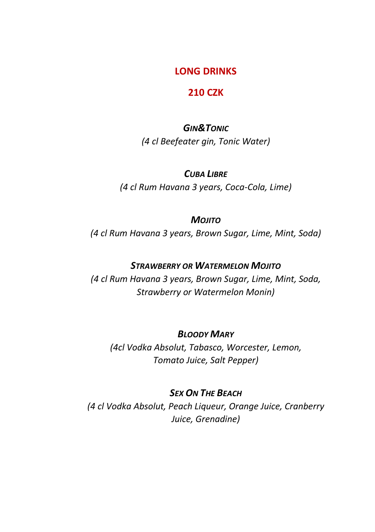#### **LONG DRINKS**

#### **210 CZK**

*GIN&TONIC (4 cl Beefeater gin, Tonic Water)*

#### *CUBA LIBRE*

*(4 cl Rum Havana 3 years, Coca-Cola, Lime)*

#### *MOJITO*

*(4 cl Rum Havana 3 years, Brown Sugar, Lime, Mint, Soda)*

#### *STRAWBERRY OR WATERMELON MOJITO*

*(4 cl Rum Havana 3 years, Brown Sugar, Lime, Mint, Soda, Strawberry or Watermelon Monin)*

#### *BLOODY MARY*

*(4cl Vodka Absolut, Tabasco, Worcester, Lemon, Tomato Juice, Salt Pepper)*

#### *SEX ON THE BEACH*

*(4 cl Vodka Absolut, Peach Liqueur, Orange Juice, Cranberry Juice, Grenadine)*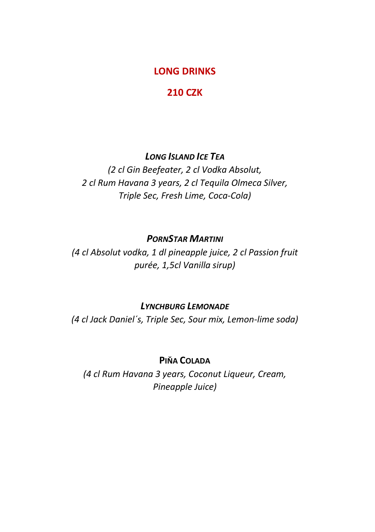#### **LONG DRINKS**

#### **210 CZK**

#### *LONG ISLAND ICE TEA*

*(2 cl Gin Beefeater, 2 cl Vodka Absolut, 2 cl Rum Havana 3 years, 2 cl Tequila Olmeca Silver, Triple Sec, Fresh Lime, Coca-Cola)*

#### *PORNSTAR MARTINI*

*(4 cl Absolut vodka, 1 dl pineapple juice, 2 cl Passion fruit purée, 1,5cl Vanilla sirup)*

#### *LYNCHBURG LEMONADE*

*(4 cl Jack Daniel´s, Triple Sec, Sour mix, Lemon-lime soda)*

#### **PIŇA COLADA**

*(4 cl Rum Havana 3 years, Coconut Liqueur, Cream, Pineapple Juice)*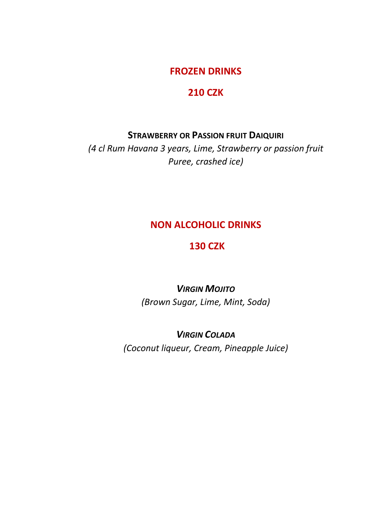#### **FROZEN DRINKS**

#### **210 CZK**

#### **STRAWBERRY OR PASSION FRUIT DAIQUIRI**

*(4 cl Rum Havana 3 years, Lime, Strawberry or passion fruit Puree, crashed ice)*

#### **NON ALCOHOLIC DRINKS**

#### **130 CZK**

# *VIRGIN MOJITO (Brown Sugar, Lime, Mint, Soda)*

#### *VIRGIN COLADA*

*(Coconut liqueur, Cream, Pineapple Juice)*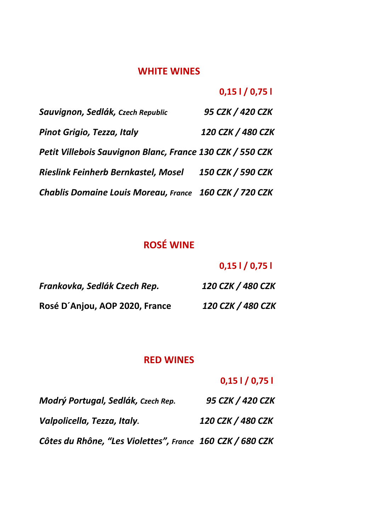#### **WHITE WINES**

#### **0,15 l / 0,75 l**

| Sauvignon, Sedlák, Czech Republic                         | 95 CZK / 420 CZK  |
|-----------------------------------------------------------|-------------------|
| Pinot Grigio, Tezza, Italy                                | 120 CZK / 480 CZK |
| Petit Villebois Sauvignon Blanc, France 130 CZK / 550 CZK |                   |
| Rieslink Feinherb Bernkastel, Mosel                       | 150 CZK / 590 CZK |
| Chablis Domaine Louis Moreau, France 160 CZK / 720 CZK    |                   |

# **ROSÉ WINE**

# **0,15 l / 0,75 l**

| Frankovka, Sedlák Czech Rep.   | 120 CZK / 480 CZK |
|--------------------------------|-------------------|
| Rosé D'Anjou, AOP 2020, France | 120 CZK / 480 CZK |

#### **RED WINES**

# **0,15 l / 0,75 l**

| Modrý Portugal, Sedlák, Czech Rep.                        | 95 CZK / 420 CZK  |
|-----------------------------------------------------------|-------------------|
| Valpolicella, Tezza, Italy.                               | 120 CZK / 480 CZK |
| Côtes du Rhône, "Les Violettes", France 160 CZK / 680 CZK |                   |